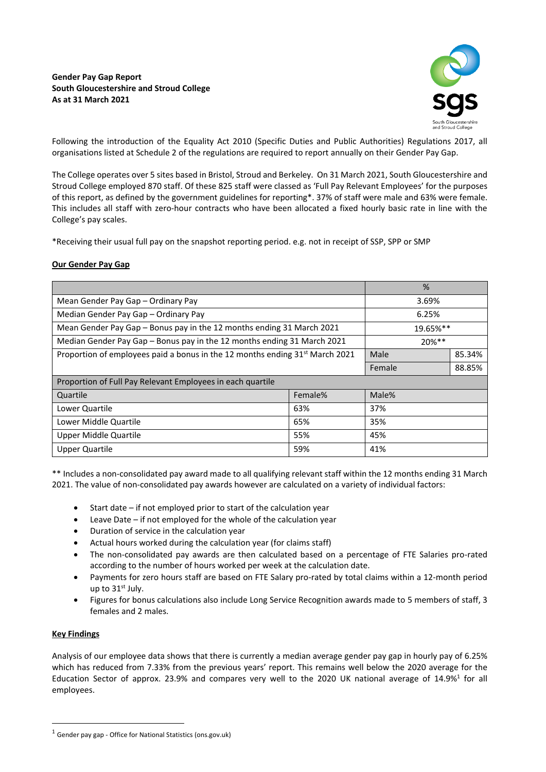# **Gender Pay Gap Report South Gloucestershire and Stroud College As at 31 March 2021**



Following the introduction of the Equality Act 2010 (Specific Duties and Public Authorities) Regulations 2017, all organisations listed at Schedule 2 of the regulations are required to report annually on their Gender Pay Gap.

The College operates over 5 sites based in Bristol, Stroud and Berkeley. On 31 March 2021, South Gloucestershire and Stroud College employed 870 staff. Of these 825 staff were classed as 'Full Pay Relevant Employees' for the purposes of this report, as defined by the government guidelines for reporting\*. 37% of staff were male and 63% were female. This includes all staff with zero-hour contracts who have been allocated a fixed hourly basic rate in line with the College's pay scales.

\*Receiving their usual full pay on the snapshot reporting period. e.g. not in receipt of SSP, SPP or SMP

# **Our Gender Pay Gap**

|                                                                                          |         | %        |        |
|------------------------------------------------------------------------------------------|---------|----------|--------|
| Mean Gender Pay Gap - Ordinary Pay                                                       |         | 3.69%    |        |
| Median Gender Pay Gap - Ordinary Pay                                                     |         | 6.25%    |        |
| Mean Gender Pay Gap - Bonus pay in the 12 months ending 31 March 2021                    |         | 19.65%** |        |
| Median Gender Pay Gap - Bonus pay in the 12 months ending 31 March 2021                  |         | 20%**    |        |
| Proportion of employees paid a bonus in the 12 months ending 31 <sup>st</sup> March 2021 |         | Male     | 85.34% |
|                                                                                          |         | Female   | 88.85% |
| Proportion of Full Pay Relevant Employees in each quartile                               |         |          |        |
| Quartile                                                                                 | Female% | Male%    |        |
| Lower Quartile                                                                           | 63%     | 37%      |        |
| Lower Middle Quartile                                                                    | 65%     | 35%      |        |
| Upper Middle Quartile                                                                    | 55%     | 45%      |        |
| <b>Upper Quartile</b>                                                                    | 59%     | 41%      |        |

\*\* Includes a non-consolidated pay award made to all qualifying relevant staff within the 12 months ending 31 March 2021. The value of non-consolidated pay awards however are calculated on a variety of individual factors:

- Start date if not employed prior to start of the calculation year
- Leave Date if not employed for the whole of the calculation year
- Duration of service in the calculation year
- Actual hours worked during the calculation year (for claims staff)
- The non-consolidated pay awards are then calculated based on a percentage of FTE Salaries pro-rated according to the number of hours worked per week at the calculation date.
- Payments for zero hours staff are based on FTE Salary pro-rated by total claims within a 12-month period up to 31st July.
- Figures for bonus calculations also include Long Service Recognition awards made to 5 members of staff, 3 females and 2 males.

### **Key Findings**

Analysis of our employee data shows that there is currently a median average gender pay gap in hourly pay of 6.25% which has reduced from 7.33% from the previous years' report. This remains well below the 2020 average for the Education Sector of approx. 23.9% and compares very well to the 2020 UK national average of 14.9%<sup>1</sup> for all employees.

 $1$  Gender pay gap - Office for National Statistics (ons.gov.uk)